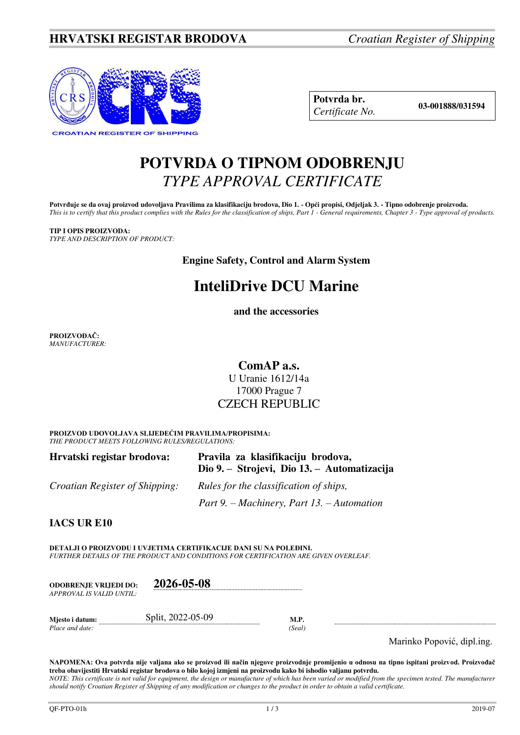### **HRVATSKI REGISTAR BRODOVA** *Croatian Register of Shipping*



**Potvrda br. 03-001888/031594** *Certificate No.* 

## **POTVRDA O TIPNOM ODOBRENJU**  *TYPE APPROVAL CERTIFICATE*

Potvrđuje se da ovaj proizvod udovoljava Pravilima za klasifikaciju brodova, Dio 1. - Opći propisi, Odjeljak 3. - Tipno odobrenje proizvoda. *This is to certify that this product complies with the Rules for the classification of ships, Part 1 - General requirements, Chapter 3 - Type approval of products.* 

**TIP I OPIS PROIZVODA:** *TYPE AND DESCRIPTION OF PRODUCT:* 

**Engine Safety, Control and Alarm System** 

# **InteliDrive DCU Marine**

**and the accessories**

**PROIZVOĐAČ:** *MANUFACTURER:*

**ComAP a.s.** 

U Uranie 1612/14a 17000 Prague 7 CZECH REPUBLIC

**PROIZVOD UDOVOLJAVA SLIJEDEĆIM PRAVILIMA/PROPISIMA:** *THE PRODUCT MEETS FOLLOWING RULES/REGULATIONS:* 

| Hrvatski registar brodova:            | Pravila za klasifikaciju brodova,<br>Dio 9. – Strojevi, Dio 13. – Automatizacija |
|---------------------------------------|----------------------------------------------------------------------------------|
| <i>Croatian Register of Shipping:</i> | <i>Rules for the classification of ships,</i>                                    |
|                                       | Part 9. – Machinery, Part 13. – Automation                                       |

**IACS UR E10**

**DETALJI O PROIZVODU I UVJETIMA CERTIFIKACIJE DANI SU NA POLEĐINI.** *FURTHER DETAILS OF THE PRODUCT AND CONDITIONS FOR CERTIFICATION ARE GIVEN OVERLEAF.* 

| <b>ODOBRENJE VRLIEDI DO:</b> | 2026-05-08        |      |
|------------------------------|-------------------|------|
| APPROVAL IS VALID UNTIL:     |                   |      |
| Miesto i datum:              | Split, 2022-05-09 | M.P. |
| Place and date:              |                   |      |

Marinko Popović, dipl.ing.

**NAPOMENA: Ova potvrda nije valjana ako se proizvod ili način njegove proizvodnje promijenio u odnosu na tipno ispitani proizvod. Proizvođač treba obavijestiti Hrvatski registar brodova o bilo kojoj izmjeni na proizvodu kako bi ishodio valjanu potvrdu.**  *NOTE: This certificate is not valid for equipment, the design or manufacture of which has been varied or modified from the specimen tested. The manufacturer should notify Croatian Register of Shipping of any modification or changes to the product in order to obtain a valid certificate.*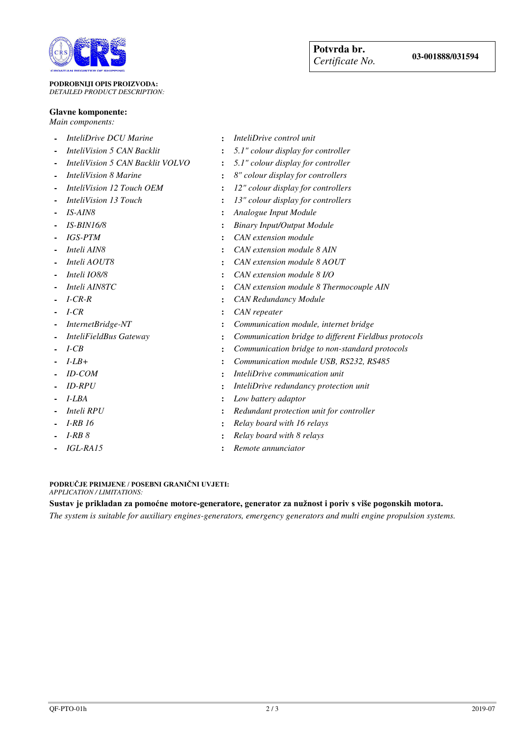

#### **PODROBNIJI OPIS PROIZVODA:** *DETAILED PRODUCT DESCRIPTION:*

#### **Glavne komponente:**

*Main components:* 

- 
- 
- 
- 
- 
- 
- 
- 
- 
- 
- 
- 
- 
- 
- 
- 
- 
- 
- 
- 
- 
- 
- 
- 
- 
- 
- *InteliDrive DCU Marine* **:** *InteliDrive control unit*
- *InteliVision 5 CAN Backlit* **:** *5.1" colour display for controller*
- *InteliVision 5 CAN Backlit VOLVO* **:** *5.1" colour display for controller*
- *InteliVision 8 Marine* **:** *8" colour display for controllers*
- *InteliVision 12 Touch OEM* **:** *12" colour display for controllers*
	- *InteliVision 13 Touch* **:** *13" colour display for controllers*
- *IS-AIN8* **:** *Analogue Input Module* 
	- *IS-BIN16/8* **:** *Binary Input/Output Module*
	- *IGS-PTM* **:** *CAN extension module*
	- *Inteli AIN8* **:** *CAN extension module 8 AIN*
	- *Inteli AOUT8* **:** *CAN extension module 8 AOUT*
	- *Inteli IO8/8* **:** *CAN extension module 8 I/O*
- *Inteli AIN8TC* **:** *CAN extension module 8 Thermocouple AIN* 
	- *I-CR-R* **:** *CAN Redundancy Module*
- *I-CR* **:** *CAN repeater*
- *InternetBridge-NT* **:** *Communication module, internet bridge*
- *InteliFieldBus Gateway* **:** *Communication bridge to different Fieldbus protocols*
- *I-CB* **:** *Communication bridge to non-standard protocols*
- *I-LB+* **:** *Communication module USB, RS232, RS485*
- *ID-COM* **:** *InteliDrive communication unit*
- *ID-RPU* **:** *InteliDrive redundancy protection unit*
- *I-LBA* **:** *Low battery adaptor*
- *Inteli RPU* **:** *Redundant protection unit for controller* 
	- *I-RB 16* **:** *Relay board with 16 relays*
	- *I-RB 8* **:** *Relay board with 8 relays*
	- *IGL-RA15* **:** *Remote annunciator*

#### **PODRUČJE PRIMJENE / POSEBNI GRANIČNI UVJETI:**

*APPLICATION / LIMITATIONS:* 

### **Sustav je prikladan za pomoćne motore-generatore, generator za nužnost i poriv s više pogonskih motora.**

*The system is suitable for auxiliary engines-generators, emergency generators and multi engine propulsion systems.*